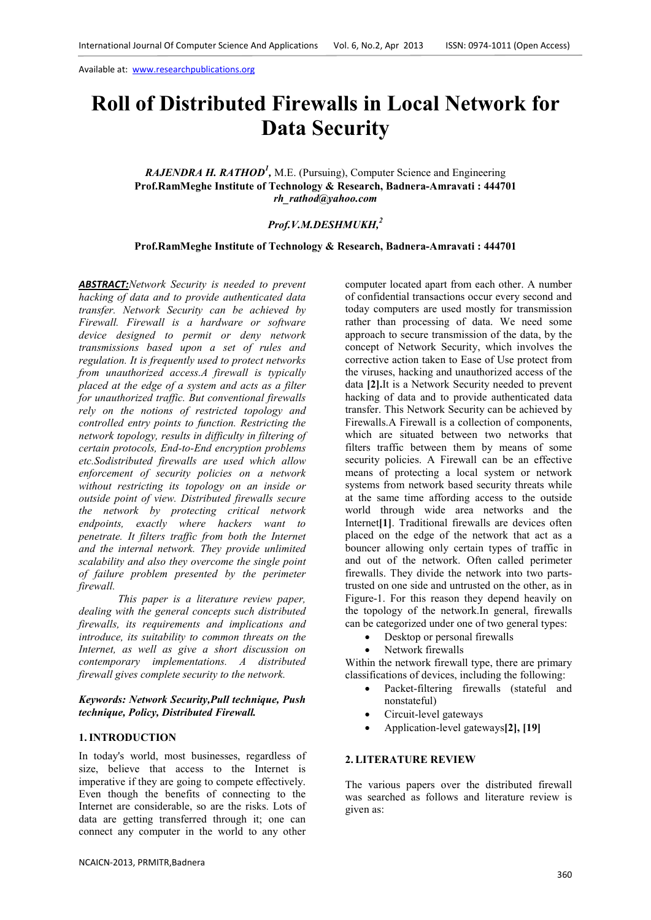# **Roll of Distributed Firewalls in Local Network for Data Security**

# RAJENDRA H. RATHOD<sup>1</sup>, M.E. (Pursuing), Computer Science and Engineering **Prof.RamMeghe Institute of Technology & Research, Badnera-Amravati : 444701**  *rh\_rathod@yahoo.com*

# *Prof.V.M.DESHMUKH,<sup>2</sup>*

# **Prof.RamMeghe Institute of Technology & Research, Badnera-Amravati : 444701**

*ABSTRACT:Network Security is needed to prevent hacking of data and to provide authenticated data transfer. Network Security can be achieved by Firewall. Firewall is a hardware or software device designed to permit or deny network transmissions based upon a set of rules and regulation. It is frequently used to protect networks from unauthorized access.A firewall is typically placed at the edge of a system and acts as a filter for unauthorized traffic. But conventional firewalls rely on the notions of restricted topology and controlled entry points to function. Restricting the network topology, results in difficulty in filtering of certain protocols, End-to-End encryption problems etc.Sodistributed firewalls are used which allow enforcement of security policies on a network without restricting its topology on an inside or outside point of view. Distributed firewalls secure the network by protecting critical network endpoints, exactly where hackers want to penetrate. It filters traffic from both the Internet and the internal network. They provide unlimited scalability and also they overcome the single point of failure problem presented by the perimeter firewall.*

*This paper is a literature review paper, dealing with the general concepts such distributed firewalls, its requirements and implications and introduce, its suitability to common threats on the Internet, as well as give a short discussion on contemporary implementations. A distributed firewall gives complete security to the network.* 

#### *Keywords: Network Security,Pull technique, Push technique, Policy, Distributed Firewall.*

## **1.INTRODUCTION**

In today's world, most businesses, regardless of size, believe that access to the Internet is imperative if they are going to compete effectively. Even though the benefits of connecting to the Internet are considerable, so are the risks. Lots of data are getting transferred through it; one can connect any computer in the world to any other

computer located apart from each other. A number of confidential transactions occur every second and today computers are used mostly for transmission rather than processing of data. We need some approach to secure transmission of the data, by the concept of Network Security, which involves the corrective action taken to Ease of Use protect from the viruses, hacking and unauthorized access of the data **[2].**It is a Network Security needed to prevent hacking of data and to provide authenticated data transfer. This Network Security can be achieved by Firewalls.A Firewall is a collection of components, which are situated between two networks that filters traffic between them by means of some security policies. A Firewall can be an effective means of protecting a local system or network systems from network based security threats while at the same time affording access to the outside world through wide area networks and the Internet**[1]**. Traditional firewalls are devices often placed on the edge of the network that act as a bouncer allowing only certain types of traffic in and out of the network. Often called perimeter firewalls. They divide the network into two partstrusted on one side and untrusted on the other, as in Figure-1. For this reason they depend heavily on the topology of the network.In general, firewalls can be categorized under one of two general types:

- Desktop or personal firewalls
- Network firewalls

Within the network firewall type, there are primary classifications of devices, including the following:

- Packet-filtering firewalls (stateful and nonstateful)
- Circuit-level gateways
- Application-level gateways**[2], [19]**

### **2. LITERATURE REVIEW**

The various papers over the distributed firewall was searched as follows and literature review is given as: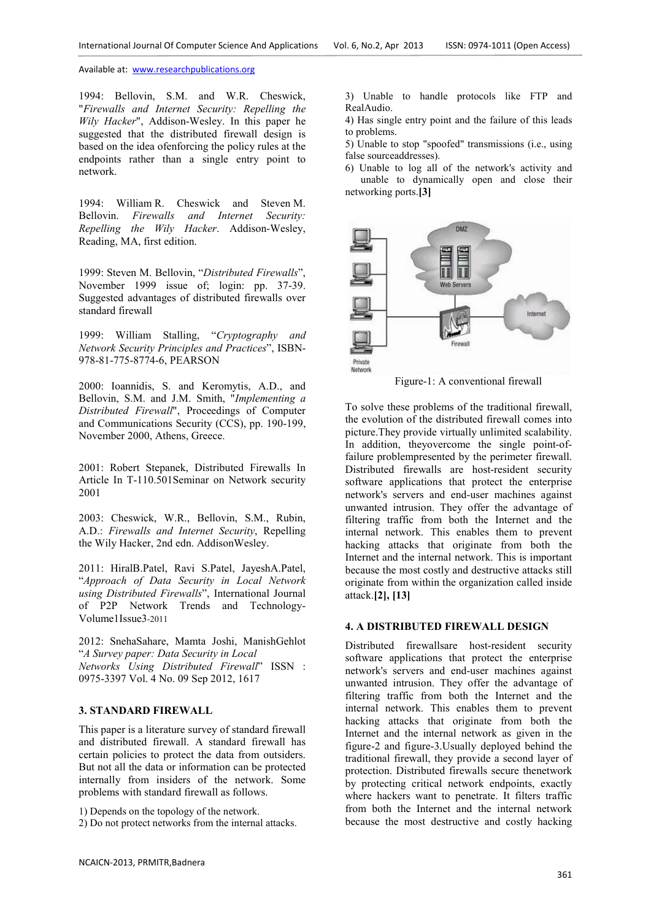1994: Bellovin, S.M. and W.R. Cheswick, "*Firewalls and Internet Security: Repelling the Wily Hacker*", Addison-Wesley. In this paper he suggested that the distributed firewall design is based on the idea ofenforcing the policy rules at the endpoints rather than a single entry point to network.

1994: William R. Cheswick and Steven M. Bellovin. *Firewalls and Internet Security: Repelling the Wily Hacker*. Addison-Wesley, Reading, MA, first edition.

1999: Steven M. Bellovin, "*Distributed Firewalls*", November 1999 issue of; login: pp. 37-39. Suggested advantages of distributed firewalls over standard firewall

1999: William Stalling, "*Cryptography and Network Security Principles and Practices*", ISBN-978-81-775-8774-6, PEARSON

2000: Ioannidis, S. and Keromytis, A.D., and Bellovin, S.M. and J.M. Smith, "*Implementing a Distributed Firewall*", Proceedings of Computer and Communications Security (CCS), pp. 190-199, November 2000, Athens, Greece.

2001: Robert Stepanek, Distributed Firewalls In Article In T-110.501Seminar on Network security 2001

2003: Cheswick, W.R., Bellovin, S.M., Rubin, A.D.: *Firewalls and Internet Security*, Repelling the Wily Hacker, 2nd edn. AddisonWesley.

2011: HiralB.Patel, Ravi S.Patel, JayeshA.Patel, "*Approach of Data Security in Local Network using Distributed Firewalls*", International Journal of P2P Network Trends and Technology-Volume1Issue3-2011

2012: SnehaSahare, Mamta Joshi, ManishGehlot "*A Survey paper: Data Security in Local Networks Using Distributed Firewall*" ISSN : 0975-3397 Vol. 4 No. 09 Sep 2012, 1617

#### **3. STANDARD FIREWALL**

This paper is a literature survey of standard firewall and distributed firewall. A standard firewall has certain policies to protect the data from outsiders. But not all the data or information can be protected internally from insiders of the network. Some problems with standard firewall as follows.

1) Depends on the topology of the network.

2) Do not protect networks from the internal attacks.

3) Unable to handle protocols like FTP and RealAudio.

4) Has single entry point and the failure of this leads to problems.

5) Unable to stop "spoofed" transmissions (i.e., using false sourceaddresses).

6) Unable to log all of the network's activity and unable to dynamically open and close their networking ports.**[3]**



Figure-1: A conventional firewall

To solve these problems of the traditional firewall, the evolution of the distributed firewall comes into picture.They provide virtually unlimited scalability. In addition, theyovercome the single point-offailure problempresented by the perimeter firewall. Distributed firewalls are host-resident security software applications that protect the enterprise network's servers and end-user machines against unwanted intrusion. They offer the advantage of filtering traffic from both the Internet and the internal network. This enables them to prevent hacking attacks that originate from both the Internet and the internal network. This is important because the most costly and destructive attacks still originate from within the organization called inside attack.**[2], [13]**

#### **4. A DISTRIBUTED FIREWALL DESIGN**

Distributed firewallsare host-resident security software applications that protect the enterprise network's servers and end-user machines against unwanted intrusion. They offer the advantage of filtering traffic from both the Internet and the internal network. This enables them to prevent hacking attacks that originate from both the Internet and the internal network as given in the figure-2 and figure-3.Usually deployed behind the traditional firewall, they provide a second layer of protection. Distributed firewalls secure thenetwork by protecting critical network endpoints, exactly where hackers want to penetrate. It filters traffic from both the Internet and the internal network because the most destructive and costly hacking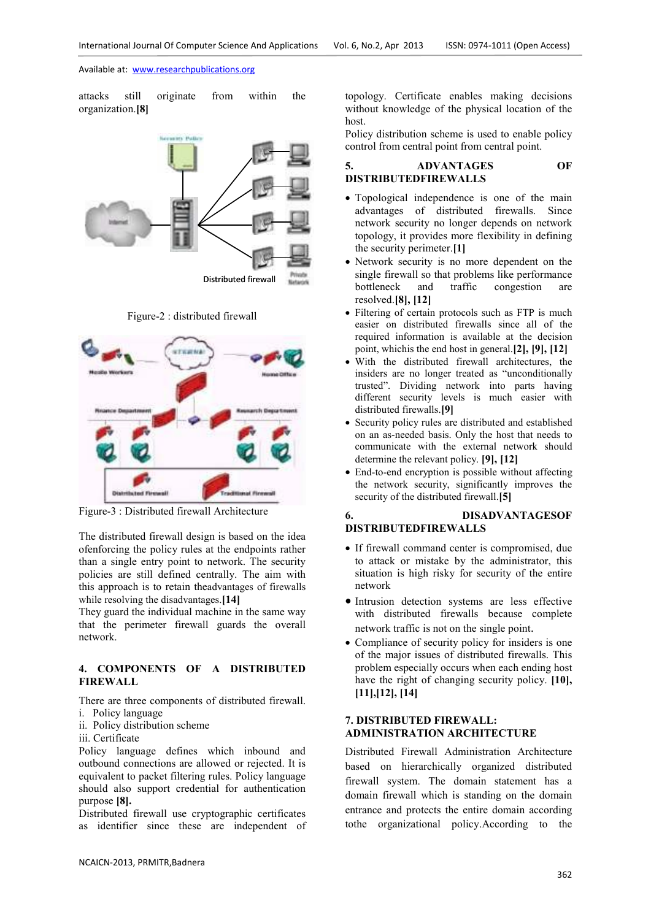attacks still originate from within the organization.**[8]** 



Figure-2 : distributed firewall



Figure-3 : Distributed firewall Architecture

The distributed firewall design is based on the idea ofenforcing the policy rules at the endpoints rather than a single entry point to network. The security policies are still defined centrally. The aim with this approach is to retain theadvantages of firewalls while resolving the disadvantages.**[14]**

They guard the individual machine in the same way that the perimeter firewall guards the overall network.

# **4. COMPONENTS OF A DISTRIBUTED FIREWALL**

There are three components of distributed firewall.

- i. Policy language
- ii. Policy distribution scheme
- iii. Certificate

Policy language defines which inbound and outbound connections are allowed or rejected. It is equivalent to packet filtering rules. Policy language should also support credential for authentication purpose **[8].** 

Distributed firewall use cryptographic certificates as identifier since these are independent of topology. Certificate enables making decisions without knowledge of the physical location of the host.

Policy distribution scheme is used to enable policy control from central point from central point.

## **5. ADVANTAGES OF DISTRIBUTEDFIREWALLS**

- Topological independence is one of the main advantages of distributed firewalls. Since network security no longer depends on network topology, it provides more flexibility in defining the security perimeter.**[1]**
- Network security is no more dependent on the single firewall so that problems like performance<br>bottleneck and traffic congestion are bottleneck and traffic congestion are resolved.**[8], [12]**
- Filtering of certain protocols such as FTP is much easier on distributed firewalls since all of the required information is available at the decision point, whichis the end host in general.**[2], [9], [12]**
- With the distributed firewall architectures, the insiders are no longer treated as "unconditionally trusted". Dividing network into parts having different security levels is much easier with distributed firewalls.**[9]**
- Security policy rules are distributed and established on an as-needed basis. Only the host that needs to communicate with the external network should determine the relevant policy. **[9], [12]**
- End-to-end encryption is possible without affecting the network security, significantly improves the security of the distributed firewall.**[5]**

# **6. DISADVANTAGESOF DISTRIBUTEDFIREWALLS**

- If firewall command center is compromised, due to attack or mistake by the administrator, this situation is high risky for security of the entire network
- Intrusion detection systems are less effective with distributed firewalls because complete network traffic is not on the single point.
- Compliance of security policy for insiders is one of the major issues of distributed firewalls. This problem especially occurs when each ending host have the right of changing security policy. **[10], [11],[12], [14]**

# **7. DISTRIBUTED FIREWALL: ADMINISTRATION ARCHITECTURE**

Distributed Firewall Administration Architecture based on hierarchically organized distributed firewall system. The domain statement has a domain firewall which is standing on the domain entrance and protects the entire domain according tothe organizational policy.According to the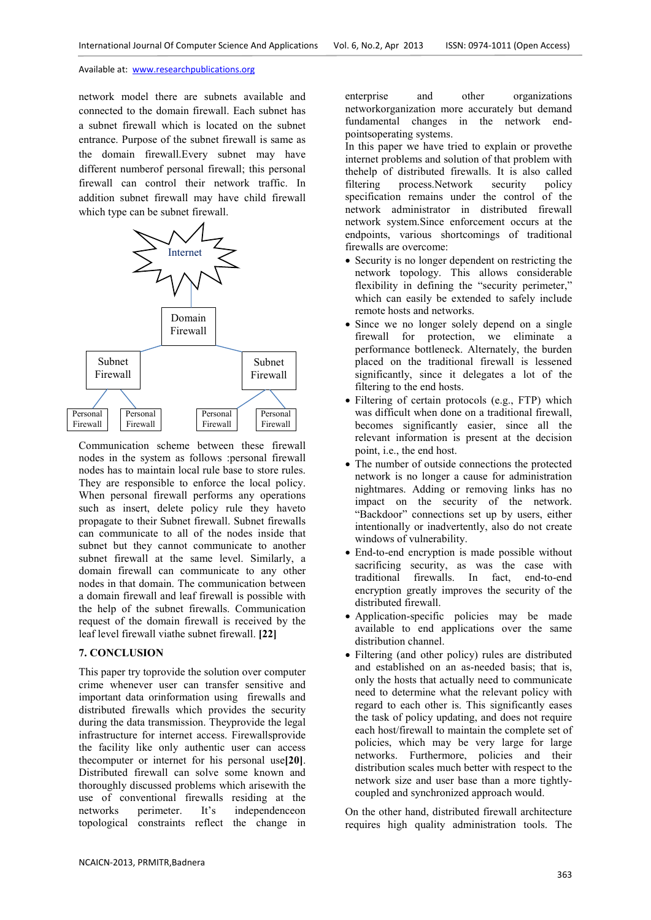network model there are subnets available and connected to the domain firewall. Each subnet has a subnet firewall which is located on the subnet entrance. Purpose of the subnet firewall is same as the domain firewall.Every subnet may have different numberof personal firewall; this personal firewall can control their network traffic. In addition subnet firewall may have child firewall which type can be subnet firewall.



Communication scheme between these firewall nodes in the system as follows :personal firewall nodes has to maintain local rule base to store rules. They are responsible to enforce the local policy. When personal firewall performs any operations such as insert, delete policy rule they haveto propagate to their Subnet firewall. Subnet firewalls can communicate to all of the nodes inside that subnet but they cannot communicate to another subnet firewall at the same level. Similarly, a domain firewall can communicate to any other nodes in that domain. The communication between a domain firewall and leaf firewall is possible with the help of the subnet firewalls. Communication request of the domain firewall is received by the leaf level firewall viathe subnet firewall. **[22]**

### **7. CONCLUSION**

This paper try toprovide the solution over computer crime whenever user can transfer sensitive and important data orinformation using firewalls and distributed firewalls which provides the security during the data transmission. Theyprovide the legal infrastructure for internet access. Firewallsprovide the facility like only authentic user can access thecomputer or internet for his personal use**[20]**. Distributed firewall can solve some known and thoroughly discussed problems which arisewith the use of conventional firewalls residing at the networks perimeter. It's independenceon topological constraints reflect the change in

enterprise and other organizations networkorganization more accurately but demand fundamental changes in the network endpointsoperating systems.

In this paper we have tried to explain or provethe internet problems and solution of that problem with the help of distributed firewalls. It is also called<br>filtering process.<br>Network security policy filtering process.Network security policy specification remains under the control of the network administrator in distributed firewall network system.Since enforcement occurs at the endpoints, various shortcomings of traditional firewalls are overcome:

- Security is no longer dependent on restricting the network topology. This allows considerable flexibility in defining the "security perimeter," which can easily be extended to safely include remote hosts and networks.
- Since we no longer solely depend on a single firewall for protection, we eliminate a performance bottleneck. Alternately, the burden placed on the traditional firewall is lessened significantly, since it delegates a lot of the filtering to the end hosts.
- Filtering of certain protocols (e.g., FTP) which was difficult when done on a traditional firewall, becomes significantly easier, since all the relevant information is present at the decision point, i.e., the end host.
- The number of outside connections the protected network is no longer a cause for administration nightmares. Adding or removing links has no impact on the security of the network. "Backdoor" connections set up by users, either intentionally or inadvertently, also do not create windows of vulnerability.
- End-to-end encryption is made possible without sacrificing security, as was the case with traditional firewalls. In fact, end-to-end encryption greatly improves the security of the distributed firewall.
- Application-specific policies may be made available to end applications over the same distribution channel.
- Filtering (and other policy) rules are distributed and established on an as-needed basis; that is, only the hosts that actually need to communicate need to determine what the relevant policy with regard to each other is. This significantly eases the task of policy updating, and does not require each host/firewall to maintain the complete set of policies, which may be very large for large networks. Furthermore, policies and their distribution scales much better with respect to the network size and user base than a more tightlycoupled and synchronized approach would.

On the other hand, distributed firewall architecture requires high quality administration tools. The